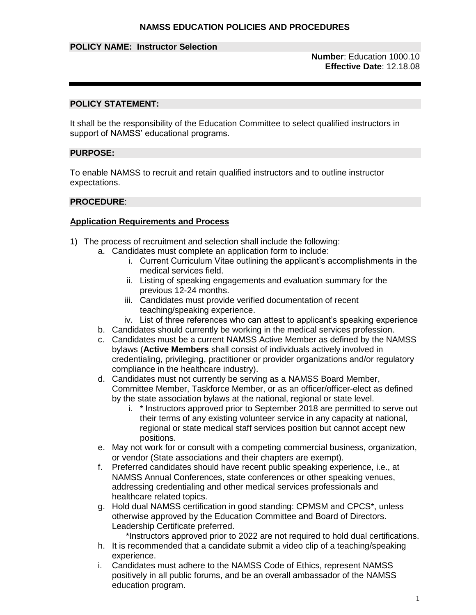## **POLICY NAME: Instructor Selection**

**Number**: Education 1000.10 **Effective Date**: 12.18.08

## **POLICY STATEMENT:**

It shall be the responsibility of the Education Committee to select qualified instructors in support of NAMSS' educational programs.

#### **PURPOSE:**

To enable NAMSS to recruit and retain qualified instructors and to outline instructor expectations.

#### **PROCEDURE**:

#### **Application Requirements and Process**

- 1) The process of recruitment and selection shall include the following:
	- a. Candidates must complete an application form to include:
		- i. Current Curriculum Vitae outlining the applicant's accomplishments in the medical services field.
		- ii. Listing of speaking engagements and evaluation summary for the previous 12-24 months.
		- iii. Candidates must provide verified documentation of recent teaching/speaking experience.
		- iv. List of three references who can attest to applicant's speaking experience
		- b. Candidates should currently be working in the medical services profession.
		- c. Candidates must be a current NAMSS Active Member as defined by the NAMSS bylaws (**Active Members** shall consist of individuals actively involved in credentialing, privileging, practitioner or provider organizations and/or regulatory compliance in the healthcare industry).
		- d. Candidates must not currently be serving as a NAMSS Board Member, Committee Member, Taskforce Member, or as an officer/officer-elect as defined by the state association bylaws at the national, regional or state level.
			- i. \* Instructors approved prior to September 2018 are permitted to serve out their terms of any existing volunteer service in any capacity at national, regional or state medical staff services position but cannot accept new positions.
		- e. May not work for or consult with a competing commercial business, organization, or vendor (State associations and their chapters are exempt).
		- f. Preferred candidates should have recent public speaking experience, i.e., at NAMSS Annual Conferences, state conferences or other speaking venues, addressing credentialing and other medical services professionals and healthcare related topics.
		- g. Hold dual NAMSS certification in good standing: CPMSM and CPCS\*, unless otherwise approved by the Education Committee and Board of Directors. Leadership Certificate preferred.
			- \*Instructors approved prior to 2022 are not required to hold dual certifications.
		- h. It is recommended that a candidate submit a video clip of a teaching/speaking experience.
		- i. Candidates must adhere to the NAMSS Code of Ethics, represent NAMSS positively in all public forums, and be an overall ambassador of the NAMSS education program.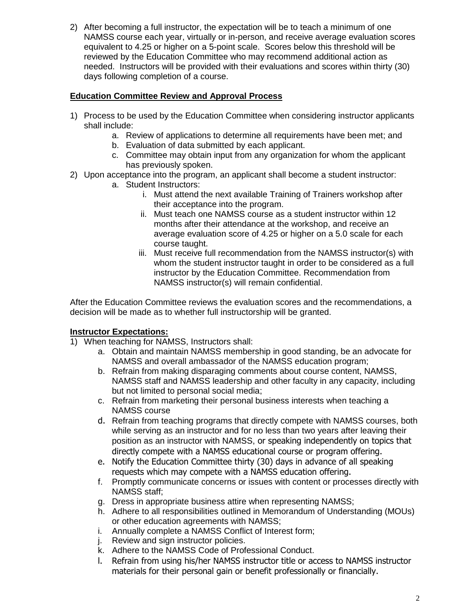2) After becoming a full instructor, the expectation will be to teach a minimum of one NAMSS course each year, virtually or in-person, and receive average evaluation scores equivalent to 4.25 or higher on a 5-point scale. Scores below this threshold will be reviewed by the Education Committee who may recommend additional action as needed. Instructors will be provided with their evaluations and scores within thirty (30) days following completion of a course.

# **Education Committee Review and Approval Process**

- 1) Process to be used by the Education Committee when considering instructor applicants shall include:
	- a. Review of applications to determine all requirements have been met; and
	- b. Evaluation of data submitted by each applicant.
	- c. Committee may obtain input from any organization for whom the applicant has previously spoken.
- 2) Upon acceptance into the program, an applicant shall become a student instructor:
	- a. Student Instructors:
		- i. Must attend the next available Training of Trainers workshop after their acceptance into the program.
		- ii. Must teach one NAMSS course as a student instructor within 12 months after their attendance at the workshop, and receive an average evaluation score of 4.25 or higher on a 5.0 scale for each course taught.
		- iii. Must receive full recommendation from the NAMSS instructor(s) with whom the student instructor taught in order to be considered as a full instructor by the Education Committee. Recommendation from NAMSS instructor(s) will remain confidential.

After the Education Committee reviews the evaluation scores and the recommendations, a decision will be made as to whether full instructorship will be granted.

# **Instructor Expectations:**

- 1) When teaching for NAMSS, Instructors shall:
	- a. Obtain and maintain NAMSS membership in good standing, be an advocate for NAMSS and overall ambassador of the NAMSS education program;
	- b. Refrain from making disparaging comments about course content, NAMSS, NAMSS staff and NAMSS leadership and other faculty in any capacity, including but not limited to personal social media;
	- c. Refrain from marketing their personal business interests when teaching a NAMSS course
	- d. Refrain from teaching programs that directly compete with NAMSS courses, both while serving as an instructor and for no less than two years after leaving their position as an instructor with NAMSS, or speaking independently on topics that directly compete with a NAMSS educational course or program offering.
	- e. Notify the Education Committee thirty (30) days in advance of all speaking requests which may compete with a NAMSS education offering.
	- f. Promptly communicate concerns or issues with content or processes directly with NAMSS staff;
	- g. Dress in appropriate business attire when representing NAMSS;
	- h. Adhere to all responsibilities outlined in Memorandum of Understanding (MOUs) or other education agreements with NAMSS;
	- i. Annually complete a NAMSS Conflict of Interest form;
	- j. Review and sign instructor policies.
	- k. Adhere to the NAMSS Code of Professional Conduct.
	- l. Refrain from using his/her NAMSS instructor title or access to NAMSS instructor materials for their personal gain or benefit professionally or financially.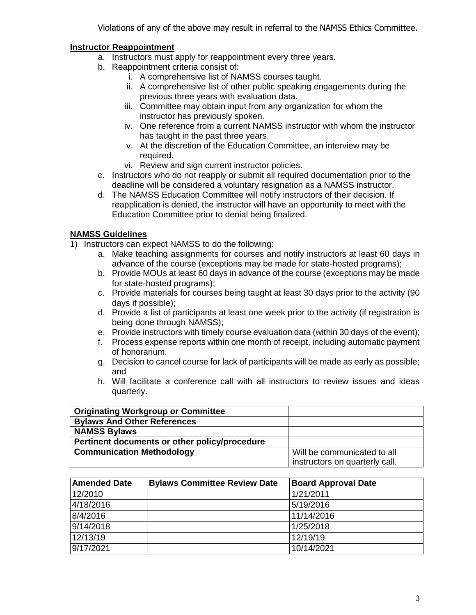Violations of any of the above may result in referral to the NAMSS Ethics Committee.

# **Instructor Reappointment**

- a. Instructors must apply for reappointment every three years.
- b. Reappointment criteria consist of:
	- i. A comprehensive list of NAMSS courses taught.
	- ii. A comprehensive list of other public speaking engagements during the previous three years with evaluation data.
	- iii. Committee may obtain input from any organization for whom the instructor has previously spoken.
	- iv. One reference from a current NAMSS instructor with whom the instructor has taught in the past three years.
	- v. At the discretion of the Education Committee, an interview may be required.
	- vi. Review and sign current instructor policies.
- c. Instructors who do not reapply or submit all required documentation prior to the deadline will be considered a voluntary resignation as a NAMSS instructor.
- d. The NAMSS Education Committee will notify instructors of their decision. If reapplication is denied, the instructor will have an opportunity to meet with the Education Committee prior to denial being finalized.

# **NAMSS Guidelines**

- 1) Instructors can expect NAMSS to do the following:
	- a. Make teaching assignments for courses and notify instructors at least 60 days in advance of the course (exceptions may be made for state-hosted programs);
	- b. Provide MOUs at least 60 days in advance of the course (exceptions may be made for state-hosted programs);
	- c. Provide materials for courses being taught at least 30 days prior to the activity (90 days if possible);
	- d. Provide a list of participants at least one week prior to the activity (if registration is being done through NAMSS);
	- e. Provide instructors with timely course evaluation data (within 30 days of the event);
	- f. Process expense reports within one month of receipt, including automatic payment of honorarium.
	- g. Decision to cancel course for lack of participants will be made as early as possible; and
	- h. Will facilitate a conference call with all instructors to review issues and ideas quarterly.

| <b>Originating Workgroup or Committee</b>     |                                |
|-----------------------------------------------|--------------------------------|
| <b>Bylaws And Other References</b>            |                                |
| <b>NAMSS Bylaws</b>                           |                                |
| Pertinent documents or other policy/procedure |                                |
| <b>Communication Methodology</b>              | Will be communicated to all    |
|                                               | instructors on quarterly call. |

| <b>Amended Date</b> | <b>Bylaws Committee Review Date</b> | <b>Board Approval Date</b> |
|---------------------|-------------------------------------|----------------------------|
| 12/2010             |                                     | 1/21/2011                  |
| 4/18/2016           |                                     | 5/19/2016                  |
| 8/4/2016            |                                     | 11/14/2016                 |
| 9/14/2018           |                                     | 1/25/2018                  |
| 12/13/19            |                                     | 12/19/19                   |
| 9/17/2021           |                                     | 10/14/2021                 |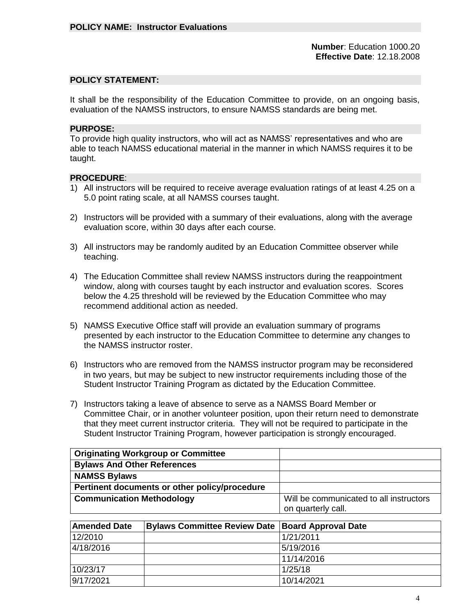**Number**: Education 1000.20  **Effective Date**: 12.18.2008

#### **POLICY STATEMENT:**

It shall be the responsibility of the Education Committee to provide, on an ongoing basis, evaluation of the NAMSS instructors, to ensure NAMSS standards are being met.

#### **PURPOSE:**

To provide high quality instructors, who will act as NAMSS' representatives and who are able to teach NAMSS educational material in the manner in which NAMSS requires it to be taught.

- 1) All instructors will be required to receive average evaluation ratings of at least 4.25 on a 5.0 point rating scale, at all NAMSS courses taught.
- 2) Instructors will be provided with a summary of their evaluations, along with the average evaluation score, within 30 days after each course.
- 3) All instructors may be randomly audited by an Education Committee observer while teaching.
- 4) The Education Committee shall review NAMSS instructors during the reappointment window, along with courses taught by each instructor and evaluation scores. Scores below the 4.25 threshold will be reviewed by the Education Committee who may recommend additional action as needed.
- 5) NAMSS Executive Office staff will provide an evaluation summary of programs presented by each instructor to the Education Committee to determine any changes to the NAMSS instructor roster.
- 6) Instructors who are removed from the NAMSS instructor program may be reconsidered in two years, but may be subject to new instructor requirements including those of the Student Instructor Training Program as dictated by the Education Committee.
- 7) Instructors taking a leave of absence to serve as a NAMSS Board Member or Committee Chair, or in another volunteer position, upon their return need to demonstrate that they meet current instructor criteria. They will not be required to participate in the Student Instructor Training Program, however participation is strongly encouraged.

| <b>Originating Workgroup or Committee</b>     |                                         |
|-----------------------------------------------|-----------------------------------------|
| <b>Bylaws And Other References</b>            |                                         |
| <b>NAMSS Bylaws</b>                           |                                         |
| Pertinent documents or other policy/procedure |                                         |
| <b>Communication Methodology</b>              | Will be communicated to all instructors |
|                                               | on quarterly call.                      |

| <b>Amended Date</b> | <b>Bylaws Committee Review Date   Board Approval Date</b> |            |
|---------------------|-----------------------------------------------------------|------------|
| 12/2010             |                                                           | 1/21/2011  |
| 4/18/2016           |                                                           | 5/19/2016  |
|                     |                                                           | 11/14/2016 |
| 10/23/17            |                                                           | 1/25/18    |
| 9/17/2021           |                                                           | 10/14/2021 |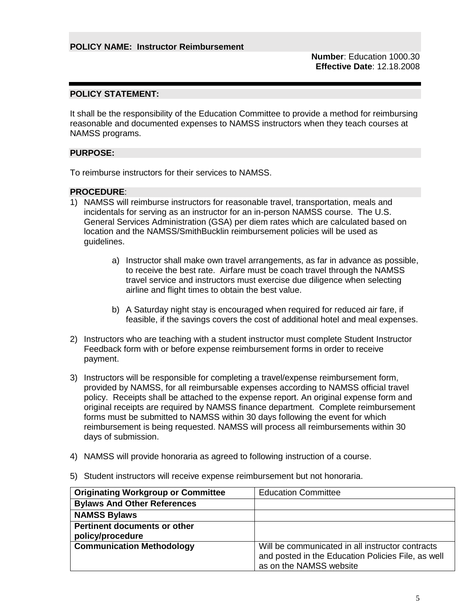**Number**: Education 1000.30  **Effective Date**: 12.18.2008

# **POLICY STATEMENT:**

It shall be the responsibility of the Education Committee to provide a method for reimbursing reasonable and documented expenses to NAMSS instructors when they teach courses at NAMSS programs.

## **PURPOSE:**

To reimburse instructors for their services to NAMSS.

- 1) NAMSS will reimburse instructors for reasonable travel, transportation, meals and incidentals for serving as an instructor for an in-person NAMSS course. The U.S. General Services Administration (GSA) per diem rates which are calculated based on location and the NAMSS/SmithBucklin reimbursement policies will be used as guidelines.
	- a) Instructor shall make own travel arrangements, as far in advance as possible, to receive the best rate. Airfare must be coach travel through the NAMSS travel service and instructors must exercise due diligence when selecting airline and flight times to obtain the best value.
	- b) A Saturday night stay is encouraged when required for reduced air fare, if feasible, if the savings covers the cost of additional hotel and meal expenses.
- 2) Instructors who are teaching with a student instructor must complete Student Instructor Feedback form with or before expense reimbursement forms in order to receive payment.
- 3) Instructors will be responsible for completing a travel/expense reimbursement form, provided by NAMSS, for all reimbursable expenses according to NAMSS official travel policy. Receipts shall be attached to the expense report. An original expense form and original receipts are required by NAMSS finance department. Complete reimbursement forms must be submitted to NAMSS within 30 days following the event for which reimbursement is being requested. NAMSS will process all reimbursements within 30 days of submission.
- 4) NAMSS will provide honoraria as agreed to following instruction of a course.
- 5) Student instructors will receive expense reimbursement but not honoraria.

| <b>Originating Workgroup or Committee</b>               | <b>Education Committee</b>                                                                                                        |
|---------------------------------------------------------|-----------------------------------------------------------------------------------------------------------------------------------|
| <b>Bylaws And Other References</b>                      |                                                                                                                                   |
| <b>NAMSS Bylaws</b>                                     |                                                                                                                                   |
| <b>Pertinent documents or other</b><br>policy/procedure |                                                                                                                                   |
| <b>Communication Methodology</b>                        | Will be communicated in all instructor contracts<br>and posted in the Education Policies File, as well<br>as on the NAMSS website |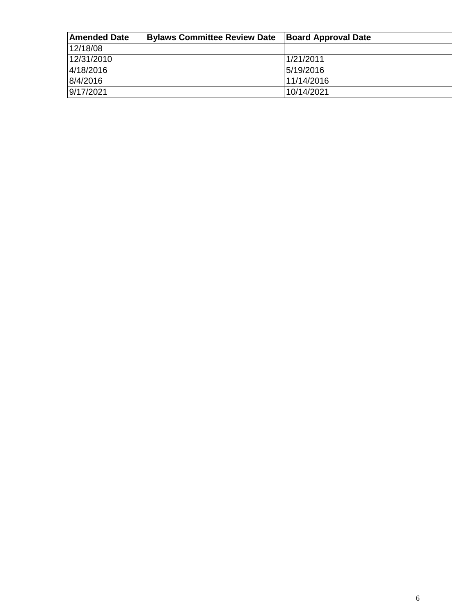| <b>Amended Date</b> | <b>Bylaws Committee Review Date</b> | <b>Board Approval Date</b> |
|---------------------|-------------------------------------|----------------------------|
| 12/18/08            |                                     |                            |
| 12/31/2010          |                                     | 1/21/2011                  |
| 4/18/2016           |                                     | 5/19/2016                  |
| 8/4/2016            |                                     | 11/14/2016                 |
| 9/17/2021           |                                     | 10/14/2021                 |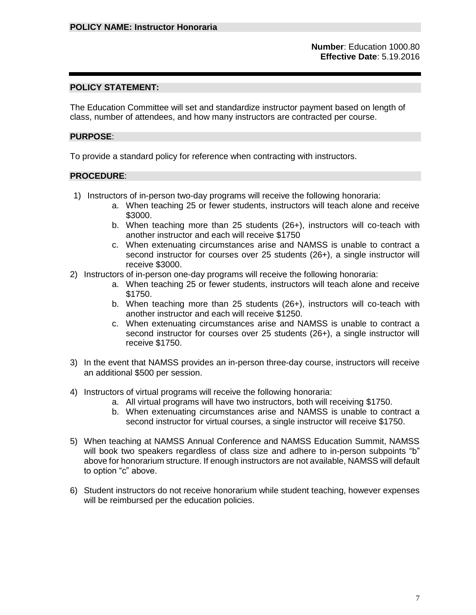### **POLICY STATEMENT:**

The Education Committee will set and standardize instructor payment based on length of class, number of attendees, and how many instructors are contracted per course.

### **PURPOSE**:

To provide a standard policy for reference when contracting with instructors.

- 1) Instructors of in-person two-day programs will receive the following honoraria:
	- a. When teaching 25 or fewer students, instructors will teach alone and receive \$3000.
	- b. When teaching more than 25 students (26+), instructors will co-teach with another instructor and each will receive \$1750
	- c. When extenuating circumstances arise and NAMSS is unable to contract a second instructor for courses over 25 students (26+), a single instructor will receive \$3000.
- 2) Instructors of in-person one-day programs will receive the following honoraria:
	- a. When teaching 25 or fewer students, instructors will teach alone and receive \$1750.
	- b. When teaching more than 25 students (26+), instructors will co-teach with another instructor and each will receive \$1250.
	- c. When extenuating circumstances arise and NAMSS is unable to contract a second instructor for courses over 25 students (26+), a single instructor will receive \$1750.
- 3) In the event that NAMSS provides an in-person three-day course, instructors will receive an additional \$500 per session.
- 4) Instructors of virtual programs will receive the following honoraria:
	- a. All virtual programs will have two instructors, both will receiving \$1750.
	- b. When extenuating circumstances arise and NAMSS is unable to contract a second instructor for virtual courses, a single instructor will receive \$1750.
- 5) When teaching at NAMSS Annual Conference and NAMSS Education Summit, NAMSS will book two speakers regardless of class size and adhere to in-person subpoints "b" above for honorarium structure. If enough instructors are not available, NAMSS will default to option "c" above.
- 6) Student instructors do not receive honorarium while student teaching, however expenses will be reimbursed per the education policies.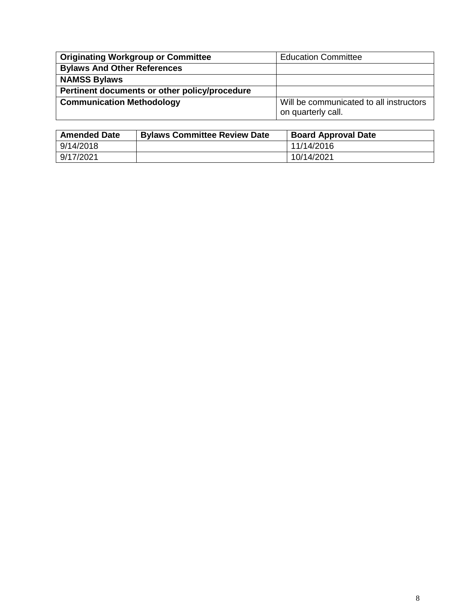| <b>Originating Workgroup or Committee</b>     | <b>Education Committee</b>                                    |
|-----------------------------------------------|---------------------------------------------------------------|
| <b>Bylaws And Other References</b>            |                                                               |
| <b>NAMSS Bylaws</b>                           |                                                               |
| Pertinent documents or other policy/procedure |                                                               |
| <b>Communication Methodology</b>              | Will be communicated to all instructors<br>on quarterly call. |

| <b>Amended Date</b> | <b>Bylaws Committee Review Date</b> | <b>Board Approval Date</b> |
|---------------------|-------------------------------------|----------------------------|
| 9/14/2018           |                                     | 11/14/2016                 |
| 9/17/2021           |                                     | 10/14/2021                 |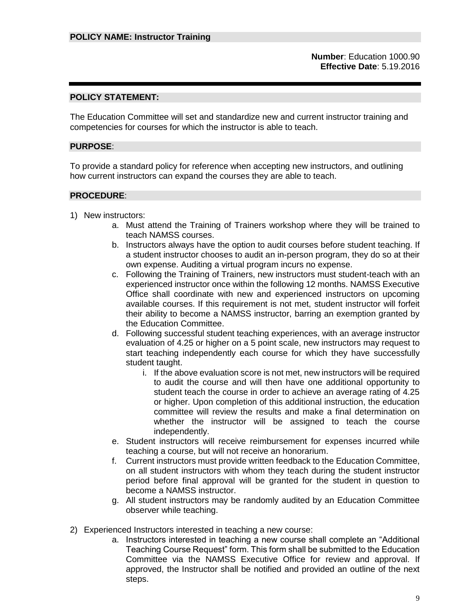**Number**: Education 1000.90 **Effective Date**: 5.19.2016

### **POLICY STATEMENT:**

The Education Committee will set and standardize new and current instructor training and competencies for courses for which the instructor is able to teach.

### **PURPOSE**:

To provide a standard policy for reference when accepting new instructors, and outlining how current instructors can expand the courses they are able to teach.

- 1) New instructors:
	- a. Must attend the Training of Trainers workshop where they will be trained to teach NAMSS courses.
	- b. Instructors always have the option to audit courses before student teaching. If a student instructor chooses to audit an in-person program, they do so at their own expense. Auditing a virtual program incurs no expense.
	- c. Following the Training of Trainers, new instructors must student-teach with an experienced instructor once within the following 12 months. NAMSS Executive Office shall coordinate with new and experienced instructors on upcoming available courses. If this requirement is not met, student instructor will forfeit their ability to become a NAMSS instructor, barring an exemption granted by the Education Committee.
	- d. Following successful student teaching experiences, with an average instructor evaluation of 4.25 or higher on a 5 point scale, new instructors may request to start teaching independently each course for which they have successfully student taught.
		- i. If the above evaluation score is not met, new instructors will be required to audit the course and will then have one additional opportunity to student teach the course in order to achieve an average rating of 4.25 or higher. Upon completion of this additional instruction, the education committee will review the results and make a final determination on whether the instructor will be assigned to teach the course independently.
	- e. Student instructors will receive reimbursement for expenses incurred while teaching a course, but will not receive an honorarium.
	- f. Current instructors must provide written feedback to the Education Committee, on all student instructors with whom they teach during the student instructor period before final approval will be granted for the student in question to become a NAMSS instructor.
	- g. All student instructors may be randomly audited by an Education Committee observer while teaching.
- 2) Experienced Instructors interested in teaching a new course:
	- a. Instructors interested in teaching a new course shall complete an "Additional Teaching Course Request" form. This form shall be submitted to the Education Committee via the NAMSS Executive Office for review and approval. If approved, the Instructor shall be notified and provided an outline of the next steps.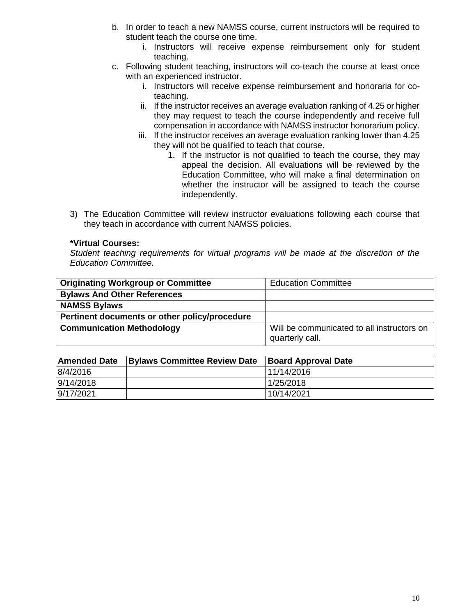- b. In order to teach a new NAMSS course, current instructors will be required to student teach the course one time.
	- i. Instructors will receive expense reimbursement only for student teaching.
- c. Following student teaching, instructors will co-teach the course at least once with an experienced instructor.
	- i. Instructors will receive expense reimbursement and honoraria for coteaching.
	- ii. If the instructor receives an average evaluation ranking of 4.25 or higher they may request to teach the course independently and receive full compensation in accordance with NAMSS instructor honorarium policy.
	- iii. If the instructor receives an average evaluation ranking lower than 4.25 they will not be qualified to teach that course.
		- 1. If the instructor is not qualified to teach the course, they may appeal the decision. All evaluations will be reviewed by the Education Committee, who will make a final determination on whether the instructor will be assigned to teach the course independently.
- 3) The Education Committee will review instructor evaluations following each course that they teach in accordance with current NAMSS policies.

## **\*Virtual Courses:**

*Student teaching requirements for virtual programs will be made at the discretion of the Education Committee.*

| <b>Originating Workgroup or Committee</b>     | <b>Education Committee</b>                                    |
|-----------------------------------------------|---------------------------------------------------------------|
| <b>Bylaws And Other References</b>            |                                                               |
| <b>NAMSS Bylaws</b>                           |                                                               |
| Pertinent documents or other policy/procedure |                                                               |
| <b>Communication Methodology</b>              | Will be communicated to all instructors on<br>quarterly call. |

| <b>Amended Date</b> | <b>Bylaws Committee Review Date</b> | <b>Board Approval Date</b> |
|---------------------|-------------------------------------|----------------------------|
| 8/4/2016            |                                     | 11/14/2016                 |
| 9/14/2018           |                                     | 1/25/2018                  |
| 9/17/2021           |                                     | 10/14/2021                 |